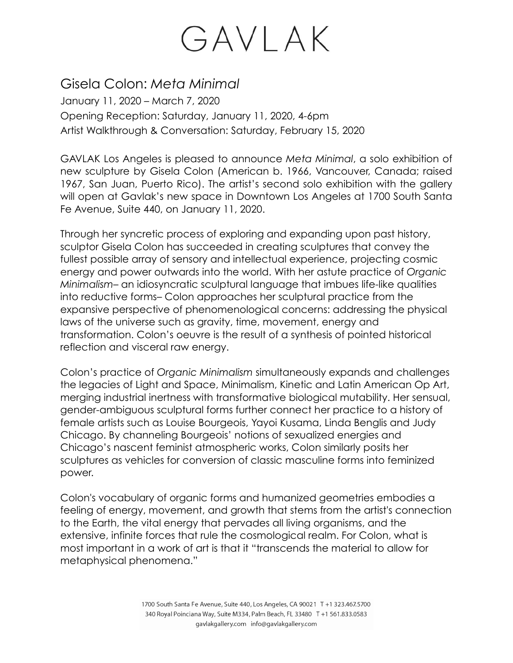#### Gisela Colon: *Meta Minimal*

January 11, 2020 – March 7, 2020 Opening Reception: Saturday, January 11, 2020, 4-6pm Artist Walkthrough & Conversation: Saturday, February 15, 2020

GAVLAK Los Angeles is pleased to announce *Meta Minimal*, a solo exhibition of new sculpture by Gisela Colon (American b. 1966, Vancouver, Canada; raised 1967, San Juan, Puerto Rico). The artist's second solo exhibition with the gallery will open at Gavlak's new space in Downtown Los Angeles at 1700 South Santa Fe Avenue, Suite 440, on January 11, 2020.

Through her syncretic process of exploring and expanding upon past history, sculptor Gisela Colon has succeeded in creating sculptures that convey the fullest possible array of sensory and intellectual experience, projecting cosmic energy and power outwards into the world. With her astute practice of *Organic Minimalism–* an idiosyncratic sculptural language that imbues life-like qualities into reductive forms– Colon approaches her sculptural practice from the expansive perspective of phenomenological concerns: addressing the physical laws of the universe such as gravity, time, movement, energy and transformation. Colon's oeuvre is the result of a synthesis of pointed historical reflection and visceral raw energy.

Colon's practice of *Organic Minimalism* simultaneously expands and challenges the legacies of Light and Space, Minimalism, Kinetic and Latin American Op Art, merging industrial inertness with transformative biological mutability. Her sensual, gender-ambiguous sculptural forms further connect her practice to a history of female artists such as Louise Bourgeois, Yayoi Kusama, Linda Benglis and Judy Chicago. By channeling Bourgeois' notions of sexualized energies and Chicago's nascent feminist atmospheric works, Colon similarly posits her sculptures as vehicles for conversion of classic masculine forms into feminized power.

Colon's vocabulary of organic forms and humanized geometries embodies a feeling of energy, movement, and growth that stems from the artist's connection to the Earth, the vital energy that pervades all living organisms, and the extensive, infinite forces that rule the cosmological realm. For Colon, what is most important in a work of art is that it "transcends the material to allow for metaphysical phenomena."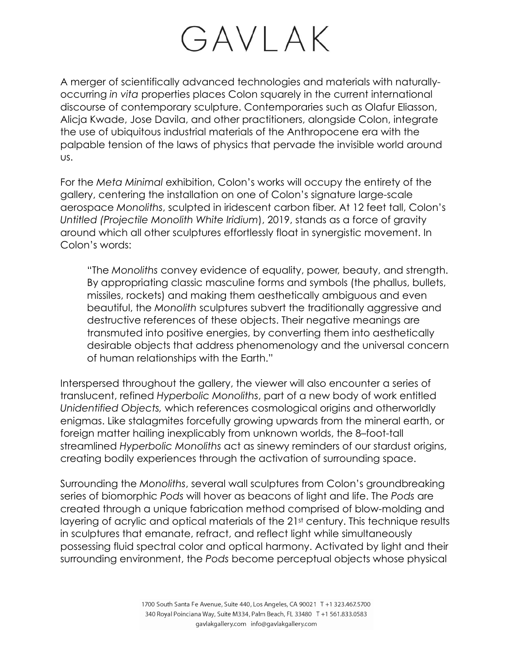A merger of scientifically advanced technologies and materials with naturallyoccurring *in vita* properties places Colon squarely in the current international discourse of contemporary sculpture. Contemporaries such as Olafur Eliasson, Alicja Kwade, Jose Davila, and other practitioners, alongside Colon, integrate the use of ubiquitous industrial materials of the Anthropocene era with the palpable tension of the laws of physics that pervade the invisible world around us.

For the *Meta Minimal* exhibition, Colon's works will occupy the entirety of the gallery, centering the installation on one of Colon's signature large-scale aerospace *Monoliths*, sculpted in iridescent carbon fiber. At 12 feet tall, Colon's *Untitled (Projectile Monolith White Iridium*), 2019, stands as a force of gravity around which all other sculptures effortlessly float in synergistic movement. In Colon's words:

"The *Monoliths* convey evidence of equality, power, beauty, and strength. By appropriating classic masculine forms and symbols (the phallus, bullets, missiles, rockets) and making them aesthetically ambiguous and even beautiful, the *Monolith* sculptures subvert the traditionally aggressive and destructive references of these objects. Their negative meanings are transmuted into positive energies, by converting them into aesthetically desirable objects that address phenomenology and the universal concern of human relationships with the Earth."

Interspersed throughout the gallery, the viewer will also encounter a series of translucent, refined *Hyperbolic Monoliths*, part of a new body of work entitled *Unidentified Objects,* which references cosmological origins and otherworldly enigmas. Like stalagmites forcefully growing upwards from the mineral earth, or foreign matter hailing inexplicably from unknown worlds, the 8–foot-tall streamlined *Hyperbolic Monoliths* act as sinewy reminders of our stardust origins, creating bodily experiences through the activation of surrounding space.

Surrounding the *Monoliths*, several wall sculptures from Colon's groundbreaking series of biomorphic *Pods* will hover as beacons of light and life. The *Pods* are created through a unique fabrication method comprised of blow-molding and layering of acrylic and optical materials of the 21st century. This technique results in sculptures that emanate, refract, and reflect light while simultaneously possessing fluid spectral color and optical harmony. Activated by light and their surrounding environment, the *Pods* become perceptual objects whose physical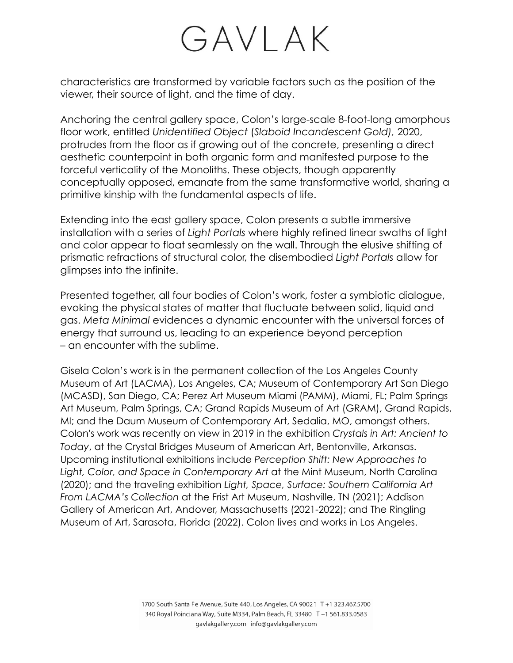characteristics are transformed by variable factors such as the position of the viewer, their source of light, and the time of day.

Anchoring the central gallery space, Colon's large-scale 8-foot-long amorphous floor work, entitled *Unidentified Object* (*Slaboid Incandescent Gold),* 2020, protrudes from the floor as if growing out of the concrete, presenting a direct aesthetic counterpoint in both organic form and manifested purpose to the forceful verticality of the Monoliths. These objects, though apparently conceptually opposed, emanate from the same transformative world, sharing a primitive kinship with the fundamental aspects of life.

Extending into the east gallery space, Colon presents a subtle immersive installation with a series of *Light Portals* where highly refined linear swaths of light and color appear to float seamlessly on the wall. Through the elusive shifting of prismatic refractions of structural color, the disembodied *Light Portals* allow for glimpses into the infinite.

Presented together, all four bodies of Colon's work, foster a symbiotic dialogue, evoking the physical states of matter that fluctuate between solid, liquid and gas. *Meta Minimal* evidences a dynamic encounter with the universal forces of energy that surround us, leading to an experience beyond perception – an encounter with the sublime.

Gisela Colon's work is in the permanent collection of the Los Angeles County Museum of Art (LACMA), Los Angeles, CA; Museum of Contemporary Art San Diego (MCASD), San Diego, CA; Perez Art Museum Miami (PAMM), Miami, FL; Palm Springs Art Museum, Palm Springs, CA; Grand Rapids Museum of Art (GRAM), Grand Rapids, MI; and the Daum Museum of Contemporary Art, Sedalia, MO, amongst others. Colon's work was recently on view in 2019 in the exhibition *Crystals in Art: Ancient to Today*, at the Crystal Bridges Museum of American Art, Bentonville, Arkansas. Upcoming institutional exhibitions include *Perception Shift: New Approaches to Light, Color, and Space in Contemporary Art* at the Mint Museum, North Carolina (2020); and the traveling exhibition *Light, Space, Surface: Southern California Art From LACMA's Collection* at the Frist Art Museum, Nashville, TN (2021); Addison Gallery of American Art, Andover, Massachusetts (2021-2022); and The Ringling Museum of Art, Sarasota, Florida (2022). Colon lives and works in Los Angeles.